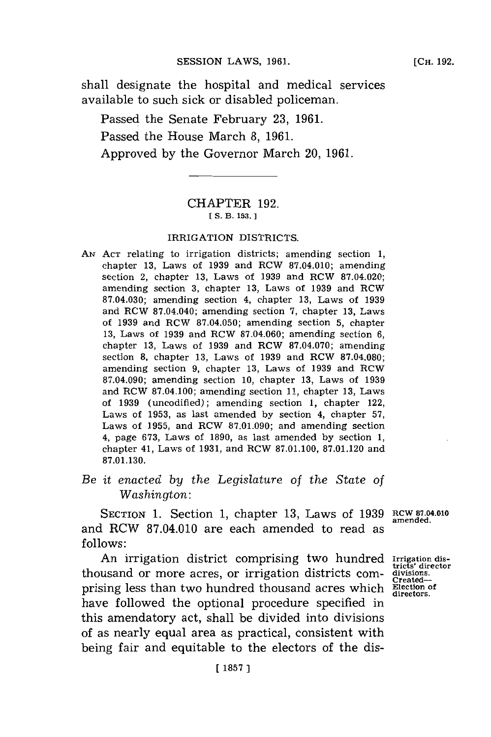shall designate the hospital and medical services available to such sick or disabled policeman.

Passed the Senate February **23, 1961.** Passed the House March **8, 1961.** Approved **by** the Governor March 20, **1961.**

# CHAPTER **192. [S. B. 153.**

### IRRIGATION DISTRICTS.

- *AN* **ACT** relating to irrigation districts; amending section **1,** chapter **13,** Laws of **1939** and RCW **87.04.010;** amending s~ection 2, chapter **13,** Laws of **1939** and RCW **87.04.020;** amending section **3,** chapter **13,** Laws of **1939** and RCW **87.04.030;** amending section 4, chapter **13,** Laws of **1939** and RCW 87.04.040; amending section **7,** chapter **13,** Laws of **1939** and RCW **87.04.050;** amending section **5,** chapter **13,** Laws of **1939** and RCW **87.04.060;** amending section **6,** chapter **13,** Laws of **1939** and RCW **87.04.070;** amending section **8,** chapter **13,** Laws of **1939** and RCW **87.04.080;** amending section **9,** chapter **13,** Laws of **1939** and RCW **87.04.090;** amending section **10,** chapter **13,** Laws of **1939** and RCW **87.04.100;** amending section **11,** chapter **13,** Laws of **1939** (uncodified); amending section **1,** chapter 122, Laws of **1953,** as last amended **by** section 4, chapter **57,** Laws of **1955,** and RCW **87.01.090;** and amending section 4, page **673,** Laws of **1890,** as last amended **by** section **1,** chapter 41, Laws of **1931,** and RCW **87.01.100, 87.01.120** and **87.01.130.**
- *Be it enacted by the Legislature of the State of Washington:*

SECTION **1.** Section **1,** chapter **13,** Laws of **1939 RCW 87-04.010** and RCW **87.04.010** are each amended to read as **follows:**

An irrigation district comprising two hundred Irrigation disthousand or more acres, or irrigation districts **COM-** divisions. prising less than two hundred thousand acres which **Election** of directors. have followed the optional procedure specified in this amendatory act, shall be divided into divisions of as nearly equal area as practical, consistent with being fair and equitable to the electors of the dis-

**amended.**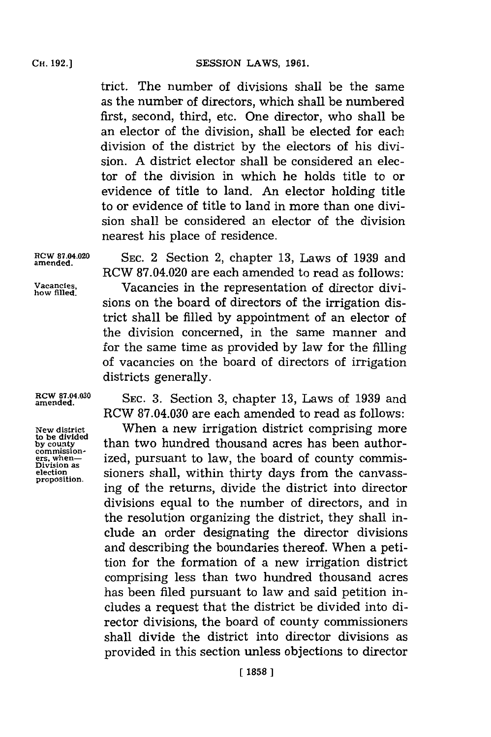trict. The number of divisions shall be the same as the number of directors, which shall be numbered first, second, third, etc. One director, who shall be an elector of the division, shall be elected for each division of the district **by** the electors of his division. **A** district elector shall be considered an elector of the division in which he holds title to or evidence of title to land. An elector holding title to or evidence of title to land in more than one division shall be considered an elector of the division nearest his place of residence.

**ROW 87.04.020 SEC.** 2 Section 2, chapter **13,** Laws of **1939** and RCW **87.04.020** are each amended to read as follows: **Vacancies.** Vacancies in the representation of director divisions on the board of directors of the irrigation district shall be filled **by** appointment of an elector of the division concerned, in the same manner and for the same time as provided **by** law for the filling of vacancies on the board of directors of irrigation districts generally.

**amended.**

**how filled.**

**to be divided**

**RCW 87.04.030** SEC. 3. Section 3, chapter 13, Laws of 1939 and RCW **87.04.030** are each amended to read as follows:

**New district** When a new irrigation district comprising more to be divided<br>by county **than two hundred thousand acres has been author-**<br>commission**examples**<br>ers, when-<br>Division as<br>Division as<br> $\frac{1}{2}$  ized, pursuant to law, the board of county commis-**Division** sioners shall, within thirty days from the canvassing of the returns, divide the district into director divisions equal to the number of directors, and in the resolution organizing the district, they shall include an order designating the director divisions and describing the boundaries thereof. When a petition for the formation of a new irrigation district comprising less than two hundred thousand acres has been filed pursuant to law and said petition includes a request that the district be divided into director divisions, the board of county commissioners shall divide the district into director divisions as provided in this section unless objections to director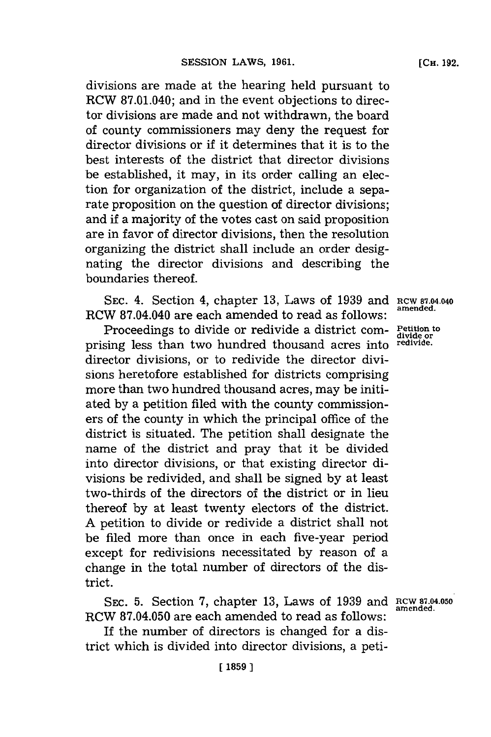divisions are made at the hearing held pursuant to RCW **87.01.040;** and in the event objections to director divisions are made and not withdrawn, the board of county commissioners may deny the request for director divisions or if it determines that it is to the best interests of the district that director divisions be established, it may, in its order calling an election for organization of the district, include a separate proposition on the question of director divisions; and if a majority of the votes cast on said proposition are in favor of director divisions, then the resolution organizing the district shall include an order designating the director divisions and describing the boundaries thereof.

**SEC.** 4. Section 4, chapter **13,** Laws of **1939** and RCW **87.04.040** RCW 87.04.040 are each amended to read as follows: **amended.**

Proceedings to divide or redivide a district com- Petition to prising less than two hundred thousand acres into **redivide.** director divisions, or to redivide the director divisions heretofore established for districts comprising more than two hundred thousand acres, may be initiated **by** a petition filed with the county commissioners of the county in which the principal office of the district is situated. The petition shall designate the name of the district and pray that it be divided into director divisions, or that existing director divisions be redivided, and shall be signed **by** at least two-thirds of the directors of the district or in lieu thereof **by** at least twenty electors of the district. **A** petition to divide or redivide a district shall not be filed more than once in each five-year period except for redivisions necessitated **by** reason of a change in the total number of directors of the district.

SEC. 5. Section 7, chapter 13, Laws of 1939 and **RCW 87.04.050**<br>amended. RCW 87.04.050 are each amended to read as follows:

If the number of directors is changed for a district which is divided into director divisions, a peti-

**[CH. 192.**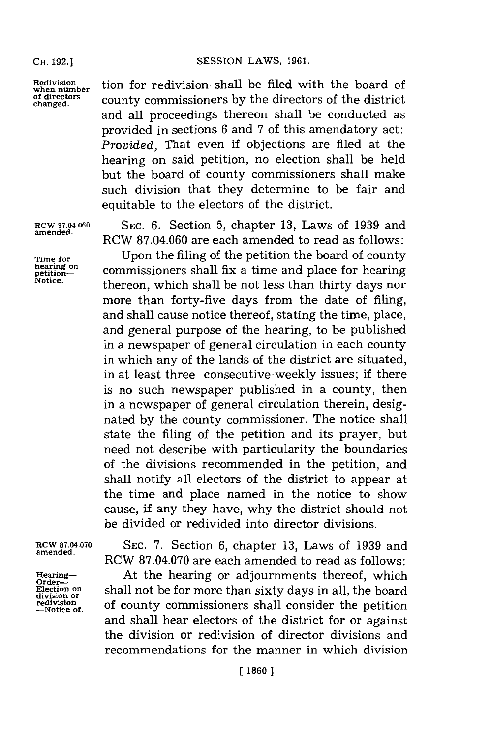**SESSION LAWS, 1961.** 

**amended.**

Redivision **then** number<br> **of directors**<br> **changed.**<br> **changed.**<br> **changed.**<br> **of directors** of the district county commissioners by the directors of the district and all proceedings thereon shall be conducted as provided in sections **6** and **7** of this amendatory act: *Provided,* That even if objections are filed at the hearing on said petition, no election shall be held but the board of county commissioners shall make such division that they determine to be fair and equitable to the electors of the district.

**RCW 87.04.060 SEC. 6.** Section **5,** chapter **13,** Laws of **1939** and RCW **87.04.060** are each amended to read as follows:

Time for Upon the filing of the petition the board of county<br>
reating on<br>
petition-<br>
Notice.<br> **Thereon** which shall he not less than thirty days non<br>
Notice. commissioners shall fix a time and place for hearing **Notice,** thereon, which shall be not less than thirty days nor more than forty-five days from the date of filing, and shall cause notice thereof, stating the time, place, and general purpose of the hearing, to be published in a newspaper of general circulation in each county in which any of the lands of the district are situated, in at least three consecutive -weekly issues; if there is no such newspaper published in a county, then in a newspaper of general circulation therein, designated **by** the county commissioner. The notice shall state the filing of the petition and its prayer, but need not describe with particularity the boundaries of the divisions recommended in the petition, and shall notify all electors of the district to appear at the time and place named in the notice to show cause, if any they have, why the district should not be divided or redivided into director divisions.

**ROW 87.04.070 SEC. 7.** Section **6,** chapter **13,** Laws of **1939** and **amended.** RCW **87.04.070** are each amended to read as follows:

Hearing-<br> **Order-** At the hearing or adjournments thereof, which **Election on** shall not be for more than sixty days in all, the board **redivision or**<br>redivision<br>-Notice of. **of county commissioners** shall consider the and shall hear electors of the district for or against the division or redivision of director divisions and recommendations for the manner in which division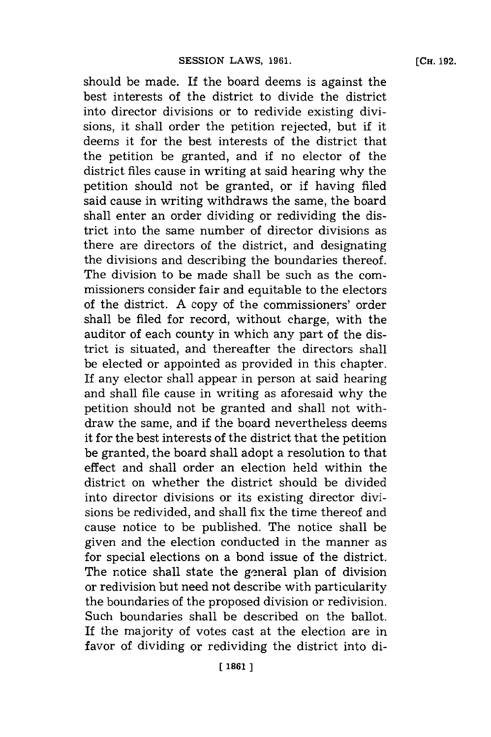should be made. If the board deems is against the best interests of the district to divide the district into director divisions or to redivide existing divisions, it shall order the petition rejected, but if it deems it for the best interests of the district that the petition be granted, and if no elector of the district files cause in writing at said hearing why the petition should not be granted, or if having filed said cause in writing withdraws the same, the board shall enter an order dividing or redividing the district into the same number of director divisions as there are directors of the district, and designating the divisions and describing the boundaries thereof. The division to be made shall be such as the commissioners consider fair and equitable to the electors of the district. **A** copy of the commissioners' order shall be filed for record, without charge, with the auditor of each county in which any part of the district is situated, and thereafter the directors shall be elected or appointed as provided in this chapter. If any elector shall appear in person at said hearing and shall file cause in writing as aforesaid why the petition should not be granted and shall not withdraw the same, and if the board nevertheless deems it for the best interests of the district that the petition be granted, the board shall adopt a resolution to that effect and shall order an election held within the district on whether the district should be divided into director divisions or its existing director divisions be redivided, and shall fix the time thereof and cause notice to be published. The notice shall be given and the election conducted in the manner as for special elections on a bond issue of the district. The notice shall state the general plan of division or redivision but need not describe with particularity the boundaries of the proposed division or redivision. Such boundaries shall be described on the ballot. **[CHi. 192.**

If the majority of votes cast at the election are in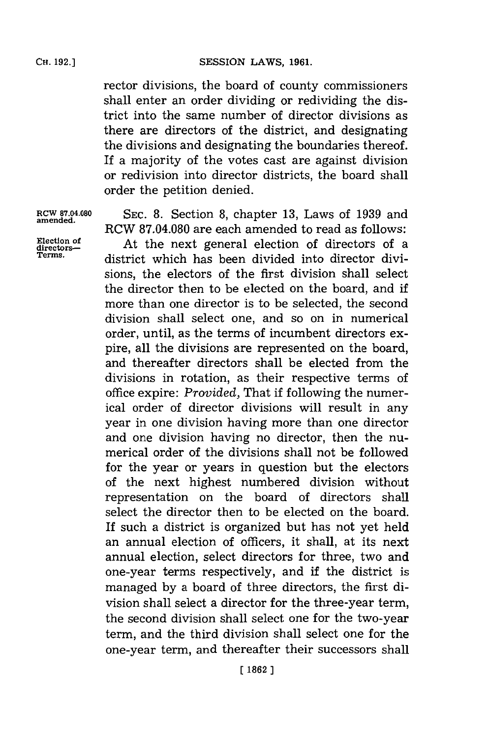rector divisions, the board of county commissioners shall enter an order dividing or redividing the district into the same number of director divisions as there are directors of the district, and designating the divisions and designating the boundaries thereof. If a majority of the votes cast are against division or redivision into director districts, the board shall order the petition denied.

**RCW 87.04.080 SEC. 8.** Section **8,** chapter **13,** Laws of **1939** and RCW **87.04.080** are each amended to read as follows:

Election of **At the next general election of directors of a** directorsdistrict which has been divided into director divisions, the electors of the first division shall select the director then to be elected on the board, and if more than one director is to be selected, the second division shall select one, and so on in numerical order, until, as the terms of incumbent directors expire, all the divisions are represented on the board, and thereafter directors shall be elected from the divisions in rotation, as their respective terms of office expire: *Provided,* That if following the numerical order of director divisions will result in any year in one division having more than one director and one division having no director, then the numerical order of the divisions shall not be followed for the year or years in question but the electors of the next highest numbered division without representation on the board of directors shall select the director then to be elected on the board. If such a district is organized but has not yet held an annual election of officers, it shall, at its next annual election, select directors for three, two and one-year terms respectively, and if the district is managed **by** a board of three directors, the first division shall select a director for the three-year term, the second division shall select one for the two-year term, and the third division shall select one for the one-year term, and thereafter their successors shall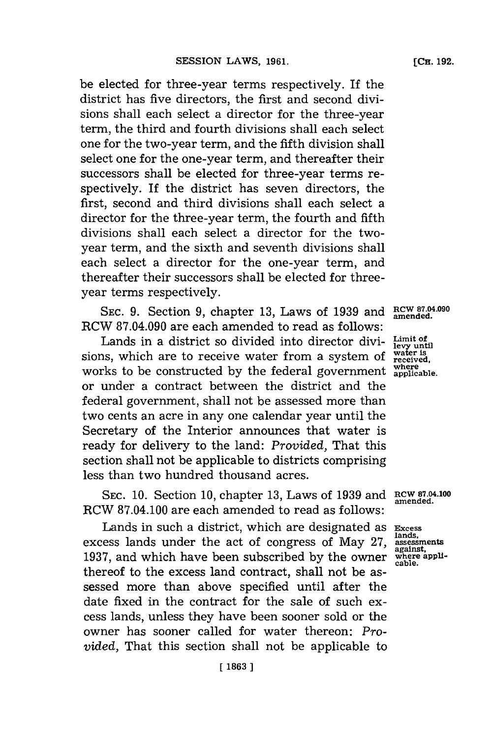be elected for three-year terms respectively. If the district has five directors, the first and second divisions shall each select a director for the three-year term, the third and fourth divisions shall each select one for the two-year term, and the fifth division shall select one for the one-year term, and thereafter their successors shall be elected for three-year terms respectively. If the district has seven directors, the first, second and third divisions shall each select a director for the three-year term, the fourth and fifth divisions shall each select a director for the twoyear term, and the sixth and seventh divisions shall each select a director for the one-year term, and thereafter their successors shall be elected for threeyear terms respectively.

**SEC. 9.** Section **9,** chapter **13,** Laws of **1939** and **RCW 87.04.090 amended.** RCW **87.04.090** are each amended to read as follows:

Lands in a district so divided into director divisions, which are to receive water from a system of works to be constructed **by** the federal government or under a contract between the district and the federal government, shall not be assessed more than two cents an acre in any one calendar year until the Secretary of the Interior announces that water is ready for delivery to the land: *Provided,* That this section shall not be applicable to districts comprising less than two hundred thousand acres.

SEC. 10. Section 10, chapter 13, Laws of 1939 and **RCW 87.04.100 amended**. RCW **87.04.100** are each amended to read as follows:

Lands in such a district, which are designated as excess lands under the act of congress of May **27, 1937,** and which have been subscribed **by** the owner thereof to the excess land contract, shall not be assessed more than above specified until after the date fixed in the contract for the sale of such excess lands, unless they have been sooner sold or the owner has sooner called for water thereon: *Provided,* That this section shall not be applicable to

**Limit of levy until water is received, where applicable.**

**Excess lands. assessments against. where applicable.**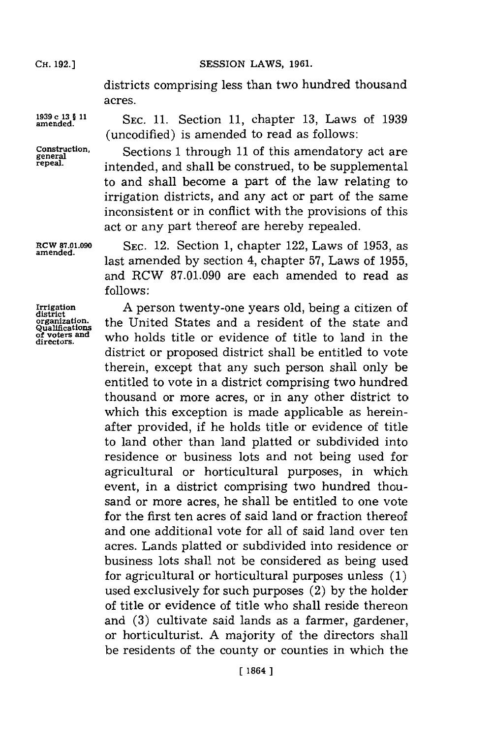Cii. **192.)**

**SESSION LAWS, 1961.** 

districts comprising less than two hundred thousand acres.

**1939 c 13 § 11** SEC. 11. Section 11, chapter 13, Laws of 1939 amended. (uncodifled) is amended to read as follows:

**Construction,**

Sections 1 through 11 of this amendatory act are intended, and shall be construed, to be supplemental to and shall become a part of the law relating to irrigation districts, and any act or part of the same inconsistent or in conflict with the provisions of this act or any part thereof are hereby repealed.

**RCW 87.01.090 SEC.** 12. Section **1,** chapter 122, Laws of **1953,** as **amended.** last amended **by** section 4, chapter **57,** Laws of **1955,** and RCW **87.01.090** are each amended to read as **follows:**

**Irrigation A** person twenty-one years old, being a citizen of **organization.** the United States and a resident of the state and  $Q$  voters and  $Q$  voters and  $Q$  who holds title or ovidence of title to land in the of voters and who holds title or evidence of title to land in the district or proposed district shall be entitled to vote therein, except that any such person shall only be entitled to vote in a district comprising two hundred thousand or more acres, or in any other district to which this exception is made applicable as hereinafter provided, if he holds title or evidence of title to land other than land platted or subdivided into residence or business lots and not being used for agricultural or horticultural purposes, in which event, in a district comprising two hundred thousand or more acres, he shall be entitled to one vote for the first ten acres of said land or fraction thereof and one additional vote for all of said land over ten acres. Lands platted or subdivided into residence or business lots shall not be considered as being used for agricultural or horticultural purposes unless **(1)** used exclusively for such purposes (2) **by** the holder of title or evidence of title who shall reside thereon and **(3)** cultivate said lands as a farmer, gardener, or horticulturist. **A** majority of the directors shall be residents of the county or counties in which the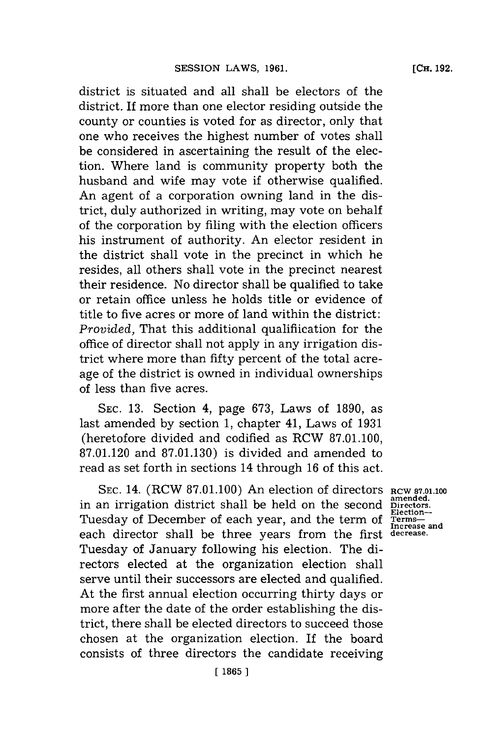district is situated and all shall be electors of the district. If more than one elector residing outside the county or counties is voted for as director, only that one who receives the highest number of votes shall be considered in ascertaining the result of the election. Where land is community property both the husband and wife may vote if otherwise qualified. An agent of a corporation owning land in the district, duly authorized in writing, may vote on behalf of the corporation **by** filing with the election officers his instrument of authority. An elector resident in the district shall vote in the precinct in which he resides, all others shall vote in the precinct nearest their residence. No director shall be qualified to take or retain office unless he holds title or evidence of title to five acres or more of land within the district: *Provided.* That this additional qualification for the office of director shall not apply in any irrigation district where more than fifty percent of the total acreage of the district is owned in individual ownerships of less than five acres.

**SEC. 13.** Section 4, page **673,** Laws of **1890,** as last amended **by** section **1,** chapter 41, Laws of **1931** (heretofore divided and codified as RCW **87.01.100, 87.01.120** and **87.01.130)** is divided and amended to read as set forth in sections 14 through **16** of this act.

SEC. 14. (RCW 87.01.100) An election of directors RCW 87.01.100 amended.<br> **An irrigation district shall be held on the second Directors. amended.** in an irrigation district shall be held on the second **Directors.** Tuesday of December of each year, and the term of Terms—<br>Increase and each director shall be three years from the first **decrease.** Tuesday of January following his election. The directors elected at the organization election shall serve until their successors are elected and qualified. At the first annual election occurring thirty days or more after the date of the order establishing the district, there shall be elected directors to succeed those chosen at the organization election. If the board consists of three directors the candidate receiving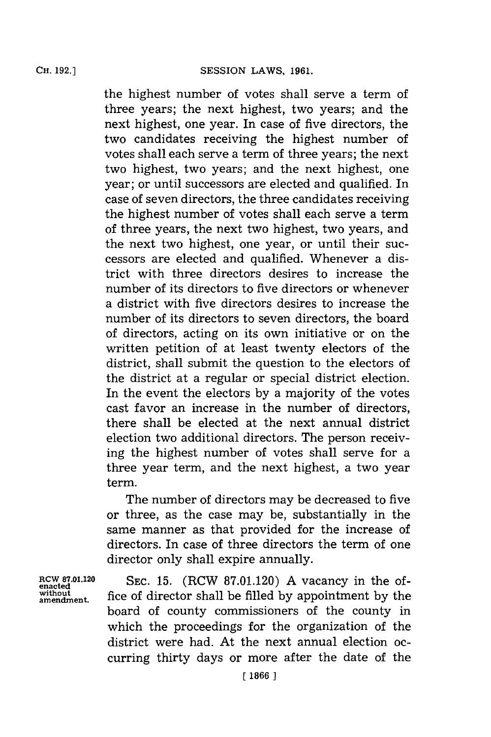the highest number of votes shall serve a term of three years; the next highest, two years; and the next highest, one year. In case of five directors, the two candidates receiving the highest number of votes shall each serve a term of three years; the next two highest, two years; and the next highest, one year; or until successors are elected and qualified. In case of seven directors, the three candidates receiving the highest number of votes shall each serve a term of three years, the next two highest, two years, and the next two highest, one year, or until their successors are elected and qualified. Whenever a district with three directors desires to increase the number of its directors to five directors or whenever a district with five directors desires to increase the number of its directors to seven directors, the board of directors, acting on its own initiative or on the written petition of at least twenty electors of the district, shall submit the question to the electors of the district at a regular or special district election. In the event the electors **by** a majority of the votes cast favor an increase in the number of directors, there shall be elected at the next annual district election two additional directors. The person receiving the highest number of votes shall serve for a three year term, and the next highest, a two year term.

The number of directors may be decreased to five or three, as the case may be, substantially in the same manner as that provided for the increase of directors. In case of three directors the term of one director only shall expire annually.

**RCW 87.01.120 SEC. 15.** (RCW **87.01.120) A** vacancy in the of- **enacted amendment.** fice of director shall be filled **by** appointment **by** the board of county commissioners of the county in which the proceedings for the organization of the district were had. At the next annual election occurring thirty days or more after the date of the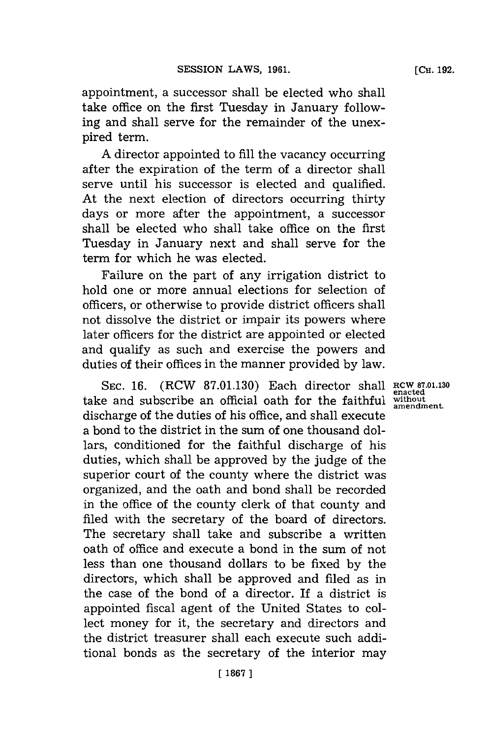appointment, a successor shall be elected who shall take office on the first Tuesday in January following and shall serve for the remainder of the unexpired term.

**A** director appointed to **fill** the vacancy occurring after the expiration of the term of a director shall serve until his successor is elected and qualified. At the next election of directors occurring thirty days or more after the appointment, a successor shall be elected who shall take office on the first Tuesday in January next and shall serve for the term for which he was elected.

Failure on the part of any irrigation district to hold one or more annual elections for selection of officers, or otherwise to provide district officers shall not dissolve the district or impair its powers where later officers for the district are appointed or elected and qualify as such and exercise the powers and duties of their offices in the manner provided **by** law.

**SEC. 16.** (RCW **87.01.130)** Each director shall **RCW 87.01.130 enacted** take and subscribe an official oath for the faithful without discharge of the duties of his office, and shall execute a bond to the district in the sum of one thousand dollars, conditioned for the faithful discharge of his duties, which shall be approved **by** the judge of the superior court of the county where the district was organized, and the oath and bond shall be recorded in the office of the county clerk of that county and filed with the secretary of the board of directors. The secretary shall take and subscribe a written oath of office and execute a bond in the sum of not less than one thousand dollars to be fixed **by** the directors, which shall be approved and filed as in the case of the bond of a director. If a district is appointed fiscal agent of the United States to collect money for it, the secretary and directors and the district treasurer shall each execute such additional bonds as the secretary of the interior may

**amendment.**